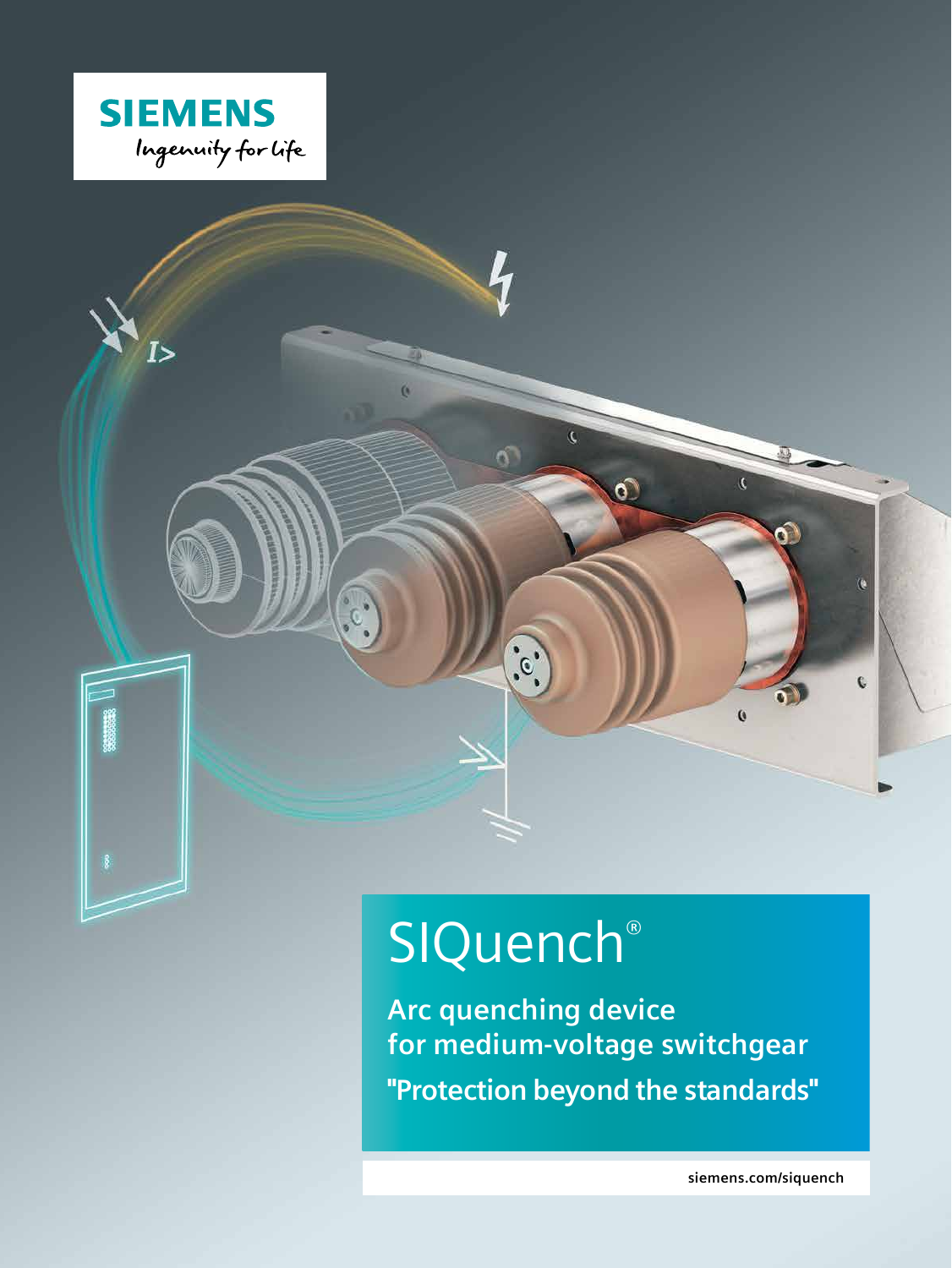

 $I >$ 



 $\ddot{\cdot}$ 

 $\alpha$ 

**Arc quenching device for medium-voltage switchgear "Protection beyond the standards"**

iC.

 $\hat{c}$ 

 $\overline{c}$ 

 $\mathbf{Q}$ 

 $\mathbf{c}$ 

**siemens.com/siquench**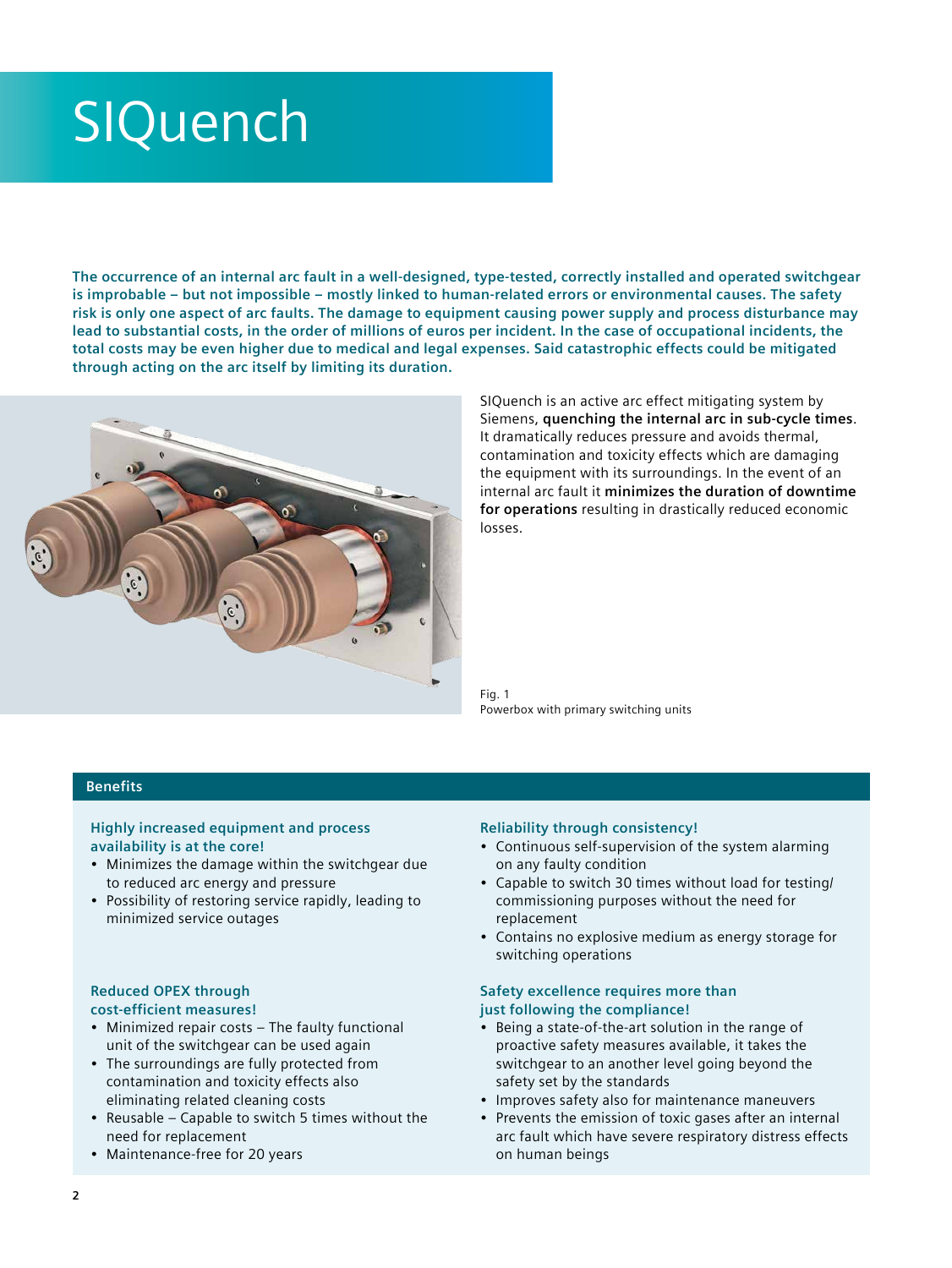# **SIQuench**

**The occurrence of an internal arc fault in a well-designed, type-tested, correctly installed and operated switchgear is improbable – but not impossible – mostly linked to human-related errors or environmental causes. The safety risk is only one aspect of arc faults. The damage to equipment causing power supply and process disturbance may lead to substantial costs, in the order of millions of euros per incident. In the case of occupational incidents, the total costs may be even higher due to medical and legal expenses. Said catastrophic effects could be mitigated through acting on the arc itself by limiting its duration.**



SIQuench is an active arc effect mitigating system by Siemens, **quenching the internal arc in sub-cycle times**. It dramatically reduces pressure and avoids thermal, contamination and toxicity effects which are damaging the equipment with its surroundings. In the event of an internal arc fault it **minimizes the duration of downtime for operations** resulting in drastically reduced economic losses.

Fig. 1 Powerbox with primary switching units

## **Benefits**

#### **Highly increased equipment and process availability is at the core!**

- Minimizes the damage within the switchgear due to reduced arc energy and pressure
- Possibility of restoring service rapidly, leading to minimized service outages

#### **Reduced OPEX through cost-efficient measures!**

- Minimized repair costs The faulty functional unit of the switchgear can be used again
- The surroundings are fully protected from contamination and toxicity effects also eliminating related cleaning costs
- Reusable Capable to switch 5 times without the need for replacement
- Maintenance-free for 20 years

#### **Reliability through consistency!**

- Continuous self-supervision of the system alarming on any faulty condition
- Capable to switch 30 times without load for testing/ commissioning purposes without the need for replacement
- Contains no explosive medium as energy storage for switching operations

#### **Safety excellence requires more than just following the compliance!**

- Being a state-of-the-art solution in the range of proactive safety measures available, it takes the switchgear to an another level going beyond the safety set by the standards
- Improves safety also for maintenance maneuvers
- Prevents the emission of toxic gases after an internal arc fault which have severe respiratory distress effects on human beings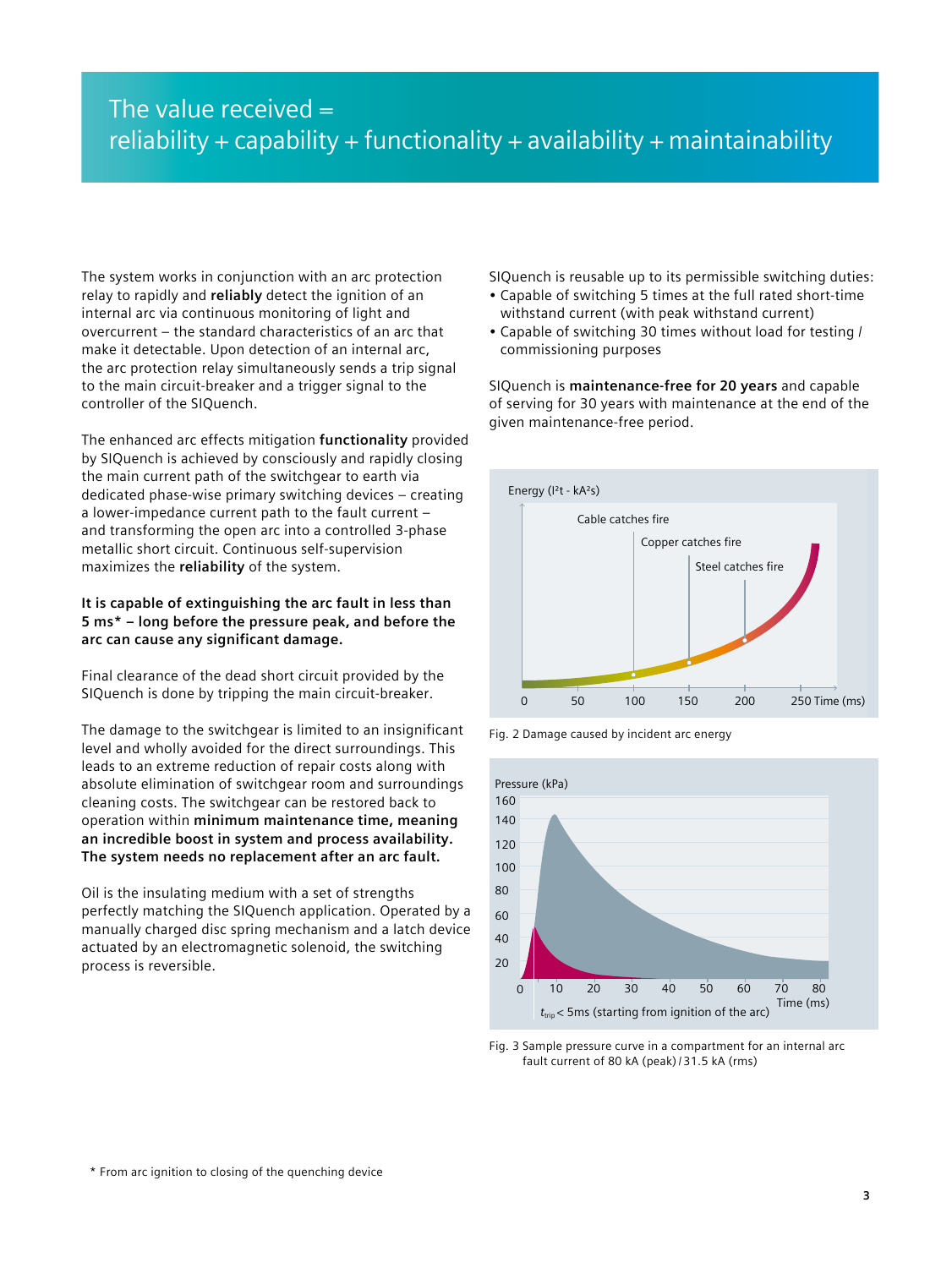# The value received  $=$ reliability + capability + functionality + availability + maintainability

The system works in conjunction with an arc protection relay to rapidly and **reliably** detect the ignition of an internal arc via continuous monitoring of light and overcurrent – the standard characteristics of an arc that make it detectable. Upon detection of an internal arc, the arc protection relay simultaneously sends a trip signal to the main circuit-breaker and a trigger signal to the controller of the SIQuench.

The enhanced arc effects mitigation **functionality** provided by SIQuench is achieved by consciously and rapidly closing the main current path of the switchgear to earth via dedicated phase-wise primary switching devices – creating a lower-impedance current path to the fault current – and transforming the open arc into a controlled 3-phase metallic short circuit. Continuous self-supervision maximizes the **reliability** of the system.

## **It is capable of extinguishing the arc fault in less than 5 ms\* – long before the pressure peak, and before the arc can cause any significant damage.**

Final clearance of the dead short circuit provided by the SIQuench is done by tripping the main circuit-breaker.

The damage to the switchgear is limited to an insignificant level and wholly avoided for the direct surroundings. This leads to an extreme reduction of repair costs along with absolute elimination of switchgear room and surroundings cleaning costs. The switchgear can be restored back to operation within **minimum maintenance time, meaning an incredible boost in system and process availability. The system needs no replacement after an arc fault.**

Oil is the insulating medium with a set of strengths perfectly matching the SIQuench application. Operated by a manually charged disc spring mechanism and a latch device actuated by an electromagnetic solenoid, the switching process is reversible.

SIQuench is reusable up to its permissible switching duties:

- Capable of switching 5 times at the full rated short-time withstand current (with peak withstand current)
- Capable of switching 30 times without load for testing / commissioning purposes

SIQuench is **maintenance-free for 20 years** and capable of serving for 30 years with maintenance at the end of the given maintenance-free period.



Fig. 2 Damage caused by incident arc energy



Fig. 3 Sample pressure curve in a compartment for an internal arc fault current of 80 kA (peak)/ 31.5 kA (rms)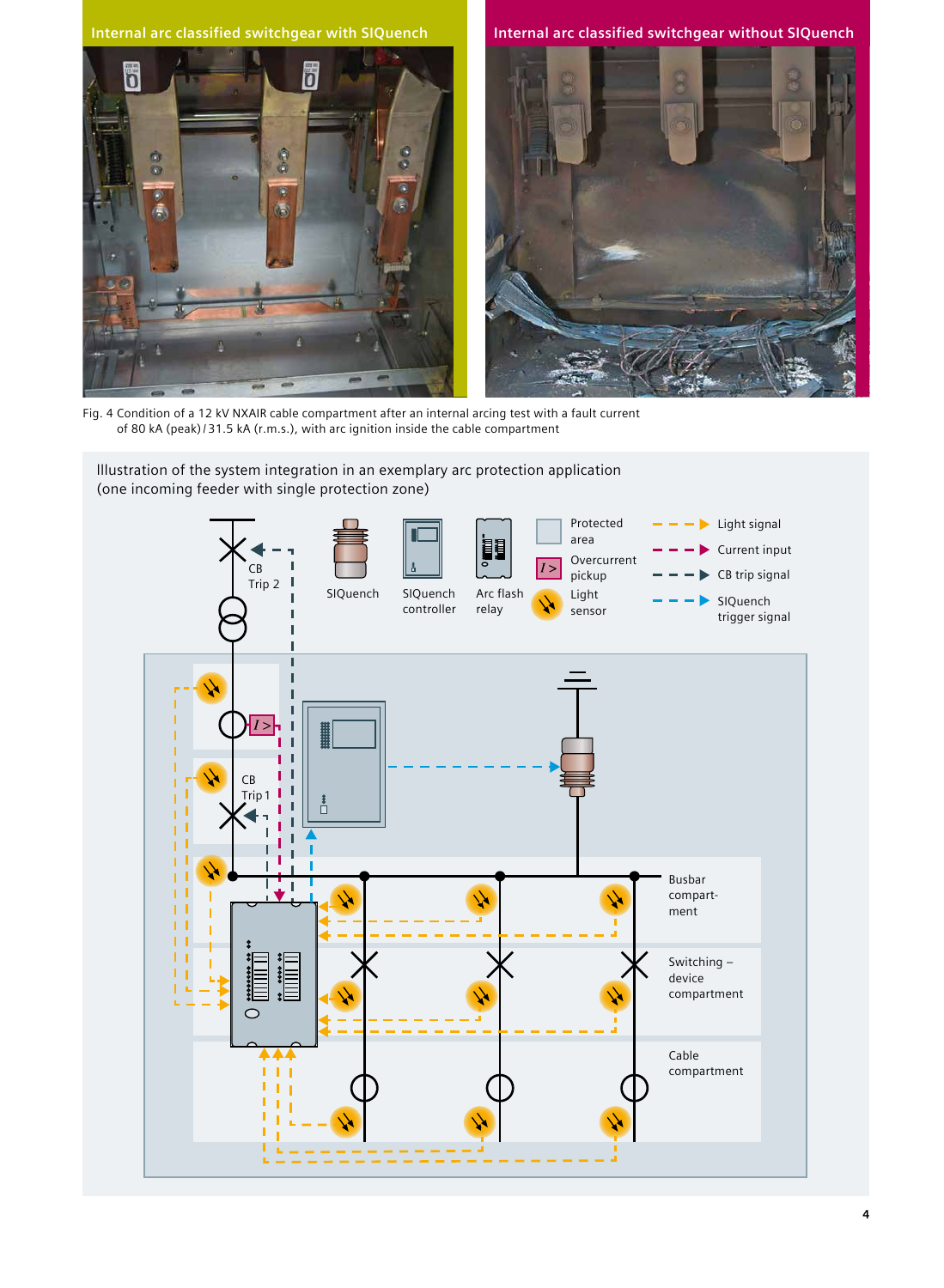



Fig. 4 Condition of a 12 kV NXAIR cable compartment after an internal arcing test with a fault current of 80 kA (peak)/ 31.5 kA (r.m.s.), with arc ignition inside the cable compartment

# lllustration of the system integration in an exemplary arc protection application (one incoming feeder with single protection zone)

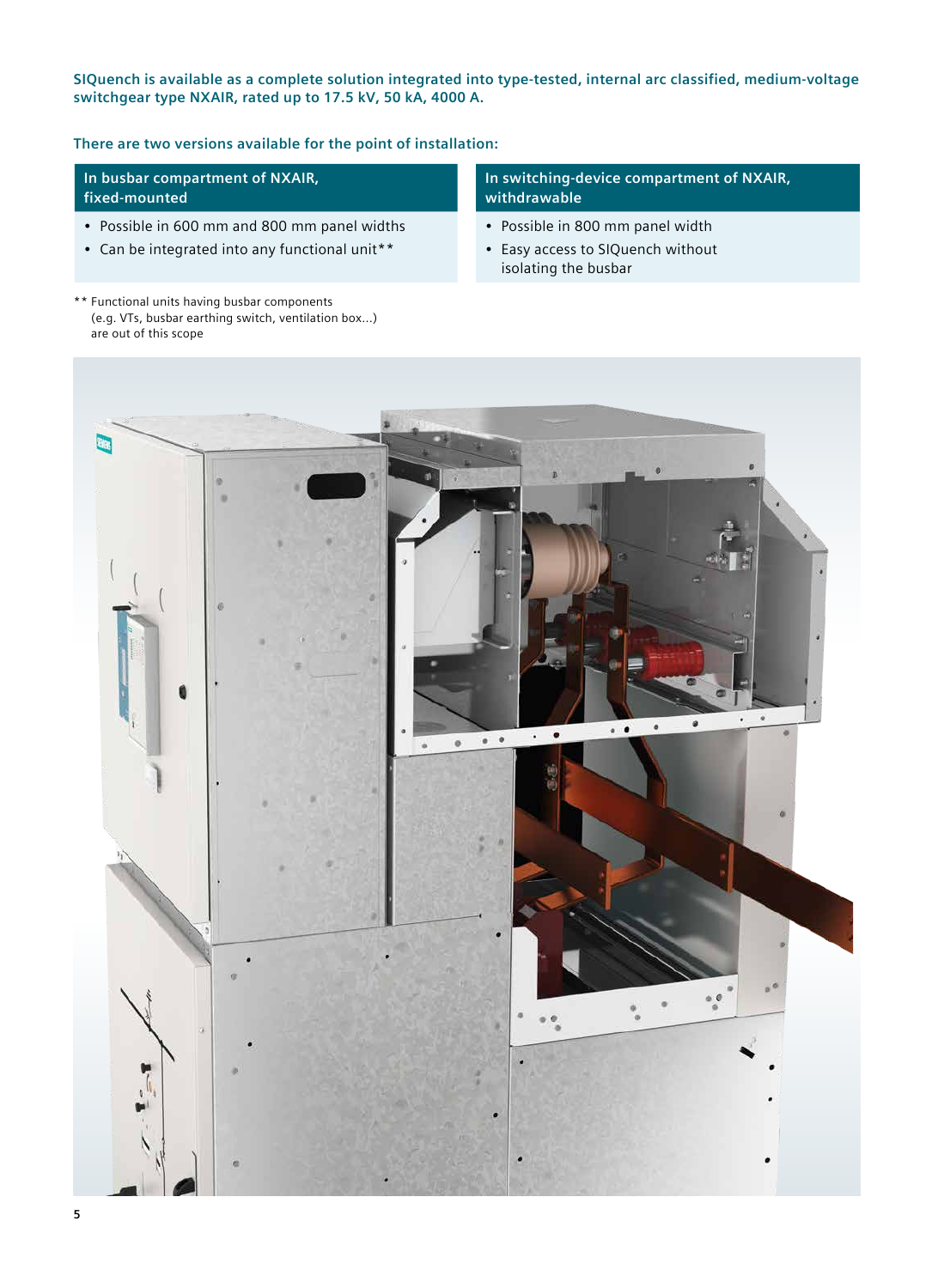**SIQuench is available as a complete solution integrated into type-tested, internal arc classified, medium-voltage switchgear type NXAIR, rated up to 17.5 kV, 50 kA, 4000 A.**

**There are two versions available for the point of installation:**

**In busbar compartment of NXAIR, fixed-mounted**

- Possible in 600 mm and 800 mm panel widths
- Can be integrated into any functional unit\*\*

\*\* Functional units having busbar components (e.g. VTs, busbar earthing switch, ventilation box...) are out of this scope

# **In switching-device compartment of NXAIR, withdrawable**

- Possible in 800 mm panel width
- Easy access to SIQuench without isolating the busbar